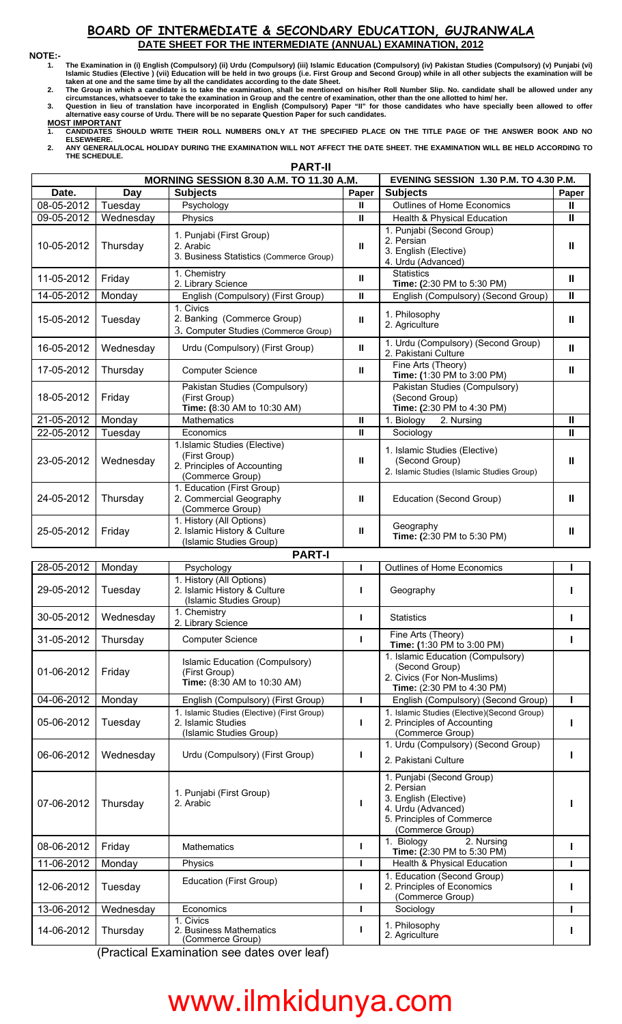## **BOARD OF INTERMEDIATE & SECONDARY EDUCATION, GUJRANWALA DATE SHEET FOR THE INTERMEDIATE (ANNUAL) EXAMINATION, 2012**

 $\mathsf{r}$ 

**NOTE:- 1. The Examination in (i) English (Compulsory) (ii) Urdu (Compulsory) (iii) Islamic Education (Compulsory) (iv) Pakistan Studies (Compulsory) (v) Punjabi (vi) Islamic Studies (Elective ) (vii) Education will be held in two groups (i.e. First Group and Second Group) while in all other subjects the examination will be taken at one and the same time by all the candidates according to the date Sheet.**

**2. The Group in which a candidate is to take the examination, shall be mentioned on his/her Roll Number Slip. No. candidate shall be allowed under any circumstances, whatsoever to take the examination in Group and the centre of examination, other than the one allotted to him/ her.**

- **3. Question in lieu of translation have incorporated in English (Compulsory) Paper "II" for those candidates who have specially been allowed to offer alternative easy course of Urdu. There will be no separate Question Paper for such candidates.**
- **MOST IMPORTANT 1. CANDIDATES SHOULD WRITE THEIR ROLL NUMBERS ONLY AT THE SPECIFIED PLACE ON THE TITLE PAGE OF THE ANSWER BOOK AND NO ELSEWHERE.**
- **2. ANY GENERAL/LOCAL HOLIDAY DURING THE EXAMINATION WILL NOT AFFECT THE DATE SHEET. THE EXAMINATION WILL BE HELD ACCORDING TO THE SCHEDULE.**

٦

|            |           | <b>MORNING SESSION 8.30 A.M. TO 11.30 A.M.</b>          | EVENING SESSION 1.30 P.M. TO 4.30 P.M. |                                                           |                         |
|------------|-----------|---------------------------------------------------------|----------------------------------------|-----------------------------------------------------------|-------------------------|
| Date.      | Day       | <b>Subjects</b>                                         | Paper                                  | <b>Subjects</b>                                           | Paper                   |
| 08-05-2012 | Tuesday   | Psychology                                              | Ш                                      | Outlines of Home Economics                                | $\mathbf{I}$            |
| 09-05-2012 | Wednesday | Physics                                                 | $\mathbf{H}$                           | Health & Physical Education                               | $\mathbf{II}$           |
|            |           | 1. Punjabi (First Group)                                |                                        | 1. Punjabi (Second Group)                                 |                         |
| 10-05-2012 | Thursday  | 2. Arabic                                               | $\mathbf{u}$                           | 2. Persian                                                | $\mathbf{I}$            |
|            |           | 3. Business Statistics (Commerce Group)                 |                                        | 3. English (Elective)                                     |                         |
|            |           | 1. Chemistry                                            |                                        | 4. Urdu (Advanced)<br><b>Statistics</b>                   |                         |
| 11-05-2012 | Friday    | 2. Library Science                                      | Ш                                      | Time: (2:30 PM to 5:30 PM)                                | $\mathbf{II}$           |
| 14-05-2012 | Monday    | English (Compulsory) (First Group)                      | Ш                                      | English (Compulsory) (Second Group)                       | $\overline{\mathbf{u}}$ |
|            |           | 1. Civics                                               |                                        |                                                           |                         |
| 15-05-2012 | Tuesday   | 2. Banking (Commerce Group)                             | $\mathbf{u}$                           | 1. Philosophy                                             | $\mathbf{II}$           |
|            |           | 3. Computer Studies (Commerce Group)                    |                                        | 2. Agriculture                                            |                         |
|            |           |                                                         |                                        | 1. Urdu (Compulsory) (Second Group)                       |                         |
| 16-05-2012 | Wednesday | Urdu (Compulsory) (First Group)                         | Ш                                      | 2. Pakistani Culture                                      | $\mathbf{II}$           |
| 17-05-2012 | Thursday  | <b>Computer Science</b>                                 | $\mathbf{I}$                           | Fine Arts (Theory)                                        | $\mathbf{II}$           |
|            |           |                                                         |                                        | Time: (1:30 PM to 3:00 PM)                                |                         |
|            | Friday    | Pakistan Studies (Compulsory)                           |                                        | Pakistan Studies (Compulsory)                             |                         |
| 18-05-2012 |           | (First Group)<br>Time: (8:30 AM to 10:30 AM)            |                                        | (Second Group)<br>Time: (2:30 PM to 4:30 PM)              |                         |
| 21-05-2012 | Monday    | Mathematics                                             | $\mathbf{H}$                           | 1. Biology<br>2. Nursing                                  | $\mathbf{I}$            |
| 22-05-2012 | Tuesday   | Economics                                               | $\mathbf{H}$                           |                                                           | $\mathbf{I}$            |
|            |           | 1.Islamic Studies (Elective)                            |                                        | Sociology                                                 |                         |
|            |           | (First Group)                                           |                                        | 1. Islamic Studies (Elective)                             |                         |
| 23-05-2012 | Wednesday | 2. Principles of Accounting                             | $\mathbf{II}$                          | (Second Group)                                            | $\mathbf{I}$            |
|            |           | (Commerce Group)                                        |                                        | 2. Islamic Studies (Islamic Studies Group)                |                         |
|            |           | 1. Education (First Group)                              |                                        |                                                           |                         |
| 24-05-2012 | Thursday  | 2. Commercial Geography                                 | $\mathbf{H}$                           | Education (Second Group)                                  | $\mathbf{I}$            |
|            |           | (Commerce Group)                                        |                                        |                                                           |                         |
|            |           | 1. History (All Options)                                |                                        | Geography                                                 |                         |
| 25-05-2012 | Friday    | 2. Islamic History & Culture<br>(Islamic Studies Group) | Ш                                      | Time: (2:30 PM to 5:30 PM)                                | $\mathbf{II}$           |
|            |           | <b>PART-I</b>                                           |                                        |                                                           |                         |
|            |           |                                                         |                                        |                                                           |                         |
| 28-05-2012 | Monday    | Psychology<br>1. History (All Options)                  | п                                      | Outlines of Home Economics                                |                         |
| 29-05-2012 | Tuesday   | 2. Islamic History & Culture                            | L                                      | Geography                                                 |                         |
|            |           | (Islamic Studies Group)                                 |                                        |                                                           |                         |
|            |           | 1. Chemistry                                            |                                        |                                                           |                         |
| 30-05-2012 | Wednesday | 2. Library Science                                      | L                                      | <b>Statistics</b>                                         | $\mathbf{I}$            |
| 31-05-2012 | Thursday  | <b>Computer Science</b>                                 | п                                      | Fine Arts (Theory)                                        | L                       |
|            |           |                                                         |                                        | Time: (1:30 PM to 3:00 PM)                                |                         |
|            | Friday    | Islamic Education (Compulsory)                          |                                        | 1. Islamic Education (Compulsory)                         |                         |
| 01-06-2012 |           | (First Group)                                           |                                        | (Second Group)<br>2. Civics (For Non-Muslims)             |                         |
|            |           | Time: (8:30 AM to 10:30 AM)                             |                                        | Time: (2:30 PM to 4:30 PM)                                |                         |
| 04-06-2012 | Monday    | English (Compulsory) (First Group)                      | П                                      | English (Compulsory) (Second Group)                       | т                       |
|            |           | 1. Islamic Studies (Elective) (First Group)             |                                        | 1. Islamic Studies (Elective)(Second Group)               |                         |
| 05-06-2012 | Tuesday   | 2. Islamic Studies                                      | L                                      | 2. Principles of Accounting                               |                         |
|            |           | (Islamic Studies Group)                                 |                                        | (Commerce Group)                                          |                         |
|            |           |                                                         |                                        | 1. Urdu (Compulsory) (Second Group)                       |                         |
| 06-06-2012 | Wednesday | Urdu (Compulsory) (First Group)                         | Ш                                      | 2. Pakistani Culture                                      |                         |
|            |           |                                                         |                                        |                                                           |                         |
|            |           |                                                         |                                        | 1. Punjabi (Second Group)<br>2. Persian                   |                         |
|            |           | 1. Punjabi (First Group)                                |                                        | 3. English (Elective)                                     |                         |
| 07-06-2012 | Thursday  | 2. Arabic                                               | Ш                                      | 4. Urdu (Advanced)                                        |                         |
|            |           |                                                         |                                        | 5. Principles of Commerce                                 |                         |
|            |           |                                                         |                                        | (Commerce Group)                                          |                         |
| 08-06-2012 | Friday    | Mathematics                                             | L                                      | 1. Biology<br>2. Nursing                                  | п                       |
|            |           |                                                         |                                        | Time: (2:30 PM to 5:30 PM)                                |                         |
| 11-06-2012 | Monday    | Physics                                                 | п                                      | Health & Physical Education                               | г                       |
| 12-06-2012 | Tuesday   | Education (First Group)                                 | п                                      | 1. Education (Second Group)<br>2. Principles of Economics |                         |
|            |           |                                                         |                                        | (Commerce Group)                                          |                         |
| 13-06-2012 | Wednesday | Economics                                               | п                                      | Sociology                                                 |                         |
|            |           | 1. Civics                                               |                                        |                                                           |                         |
| 14-06-2012 | Thursday  | 2. Business Mathematics                                 |                                        | 1. Philosophy<br>2. Agriculture                           |                         |
|            |           | (Commerce Group)                                        |                                        |                                                           |                         |

(Practical Examination see dates over leaf)

## www.ilmkidunya.com